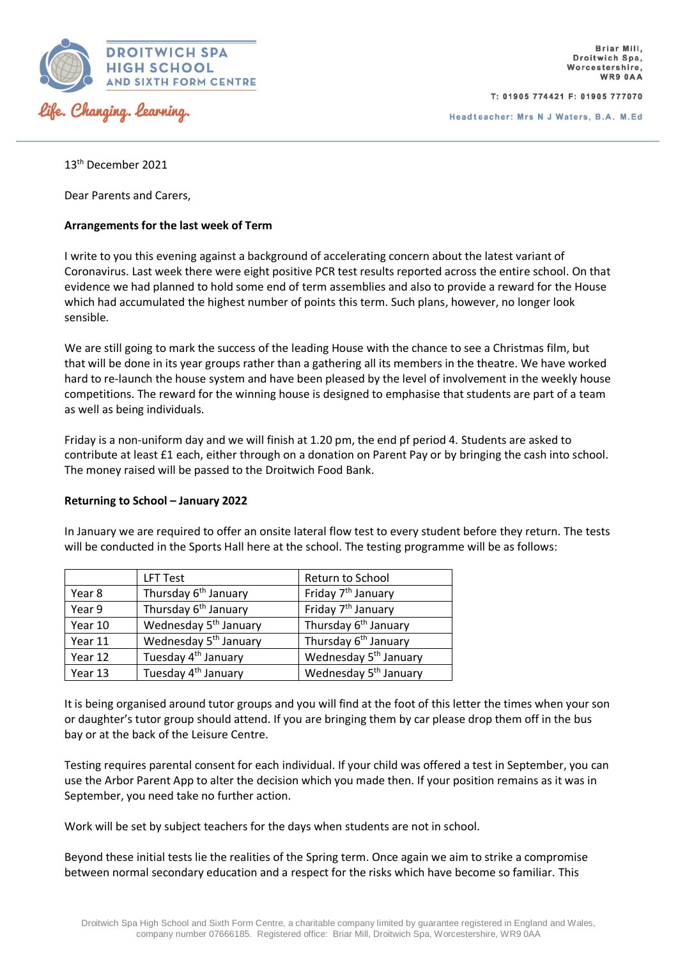

T: 01905 774421 F: 01905 777070

Headteacher: Mrs N J Waters, B.A. M.Ed

13th December 2021

Dear Parents and Carers,

## **Arrangements for the last week of Term**

I write to you this evening against a background of accelerating concern about the latest variant of Coronavirus. Last week there were eight positive PCR test results reported across the entire school. On that evidence we had planned to hold some end of term assemblies and also to provide a reward for the House which had accumulated the highest number of points this term. Such plans, however, no longer look sensible.

We are still going to mark the success of the leading House with the chance to see a Christmas film, but that will be done in its year groups rather than a gathering all its members in the theatre. We have worked hard to re-launch the house system and have been pleased by the level of involvement in the weekly house competitions. The reward for the winning house is designed to emphasise that students are part of a team as well as being individuals.

Friday is a non-uniform day and we will finish at 1.20 pm, the end pf period 4. Students are asked to contribute at least £1 each, either through on a donation on Parent Pay or by bringing the cash into school. The money raised will be passed to the Droitwich Food Bank.

## **Returning to School – January 2022**

In January we are required to offer an onsite lateral flow test to every student before they return. The tests will be conducted in the Sports Hall here at the school. The testing programme will be as follows:

|         | LFT Test                          | Return to School                  |  |  |
|---------|-----------------------------------|-----------------------------------|--|--|
| Year 8  | Thursday 6 <sup>th</sup> January  | Friday 7 <sup>th</sup> January    |  |  |
| Year 9  | Thursday 6 <sup>th</sup> January  | Friday 7 <sup>th</sup> January    |  |  |
| Year 10 | Wednesday 5 <sup>th</sup> January | Thursday 6 <sup>th</sup> January  |  |  |
| Year 11 | Wednesday 5 <sup>th</sup> January | Thursday 6 <sup>th</sup> January  |  |  |
| Year 12 | Tuesday 4 <sup>th</sup> January   | Wednesday 5 <sup>th</sup> January |  |  |
| Year 13 | Tuesday 4 <sup>th</sup> January   | Wednesday 5 <sup>th</sup> January |  |  |

It is being organised around tutor groups and you will find at the foot of this letter the times when your son or daughter's tutor group should attend. If you are bringing them by car please drop them off in the bus bay or at the back of the Leisure Centre.

Testing requires parental consent for each individual. If your child was offered a test in September, you can use the Arbor Parent App to alter the decision which you made then. If your position remains as it was in September, you need take no further action.

Work will be set by subject teachers for the days when students are not in school.

Beyond these initial tests lie the realities of the Spring term. Once again we aim to strike a compromise between normal secondary education and a respect for the risks which have become so familiar. This